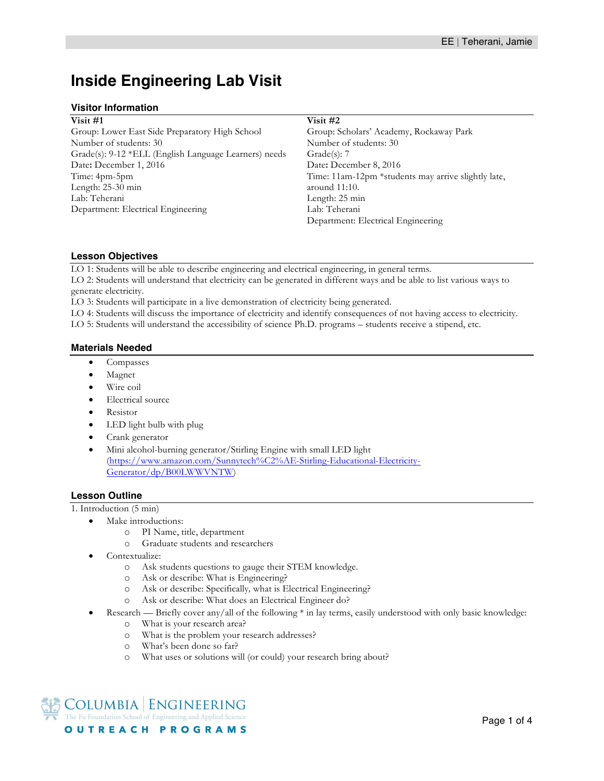# **Inside Engineering Lab Visit**

## **Visitor Information**

| Visit #1                                              |
|-------------------------------------------------------|
| Group: Lower East Side Preparatory High School        |
| Number of students: 30                                |
| Grade(s): 9-12 *ELL (English Language Learners) needs |
| Date: December 1, 2016                                |
| Time: 4pm-5pm                                         |
| Length: $25-30$ min                                   |
| Lab: Teherani                                         |
| Department: Electrical Engineering                    |
|                                                       |

### **Visit #2**

Group: Scholars' Academy, Rockaway Park Number of students: 30 Grade(s): 7 Date**:** December 8, 2016 Time: 11am-12pm \*students may arrive slightly late, around 11:10. Length: 25 min Lab: Teherani Department: Electrical Engineering

## **Lesson Objectives**

LO 1: Students will be able to describe engineering and electrical engineering, in general terms. LO 2: Students will understand that electricity can be generated in different ways and be able to list various ways to generate electricity.

LO 3: Students will participate in a live demonstration of electricity being generated.

LO 4: Students will discuss the importance of electricity and identify consequences of not having access to electricity. LO 5: Students will understand the accessibility of science Ph.D. programs – students receive a stipend, etc.

# **Materials Needed**

- Compasses
- Magnet
- Wire coil
- Electrical source
- Resistor
- LED light bulb with plug
- Crank generator
- Mini alcohol-burning generator/Stirling Engine with small LED light (https://www.amazon.com/Sunnytech%C2%AE-Stirling-Educational-Electricity-Generator/dp/B00LWWVNTW)

## **Lesson Outline**

1. Introduction (5 min)

- Make introductions:
	- o PI Name, title, department
	- o Graduate students and researchers
- Contextualize:
	- o Ask students questions to gauge their STEM knowledge.
	- o Ask or describe: What is Engineering?
	- o Ask or describe: Specifically*,* what is Electrical Engineering?
	- o Ask or describe: What does an Electrical Engineer do?
- Research Briefly cover any/all of the following \* in lay terms, easily understood with only basic knowledge:
	- o What is your research area?
	- o What is the problem your research addresses?
	- o What's been done so far?
	- o What uses or solutions will (or could) your research bring about?

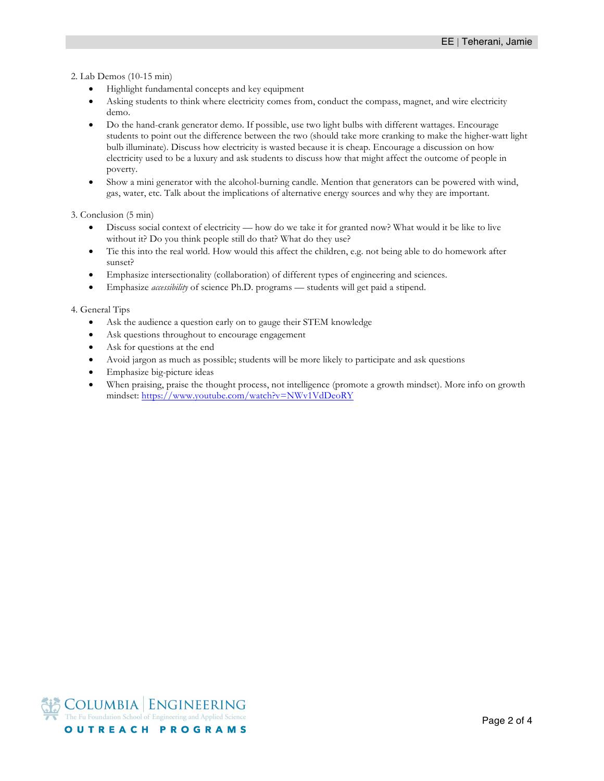2. Lab Demos (10-15 min)

- Highlight fundamental concepts and key equipment
- Asking students to think where electricity comes from, conduct the compass, magnet, and wire electricity demo.
- Do the hand-crank generator demo. If possible, use two light bulbs with different wattages. Encourage students to point out the difference between the two (should take more cranking to make the higher-watt light bulb illuminate). Discuss how electricity is wasted because it is cheap. Encourage a discussion on how electricity used to be a luxury and ask students to discuss how that might affect the outcome of people in poverty.
- Show a mini generator with the alcohol-burning candle. Mention that generators can be powered with wind, gas, water, etc. Talk about the implications of alternative energy sources and why they are important.

3. Conclusion (5 min)

- Discuss social context of electricity how do we take it for granted now? What would it be like to live without it? Do you think people still do that? What do they use?
- Tie this into the real world. How would this affect the children, e.g. not being able to do homework after sunset?
- Emphasize intersectionality (collaboration) of different types of engineering and sciences.
- Emphasize *accessibility* of science Ph.D. programs students will get paid a stipend.

4. General Tips

- Ask the audience a question early on to gauge their STEM knowledge
- Ask questions throughout to encourage engagement
- Ask for questions at the end
- Avoid jargon as much as possible; students will be more likely to participate and ask questions
- Emphasize big-picture ideas
- When praising, praise the thought process, not intelligence (promote a growth mindset). More info on growth mindset: https://www.youtube.com/watch?v=NWv1VdDeoRY

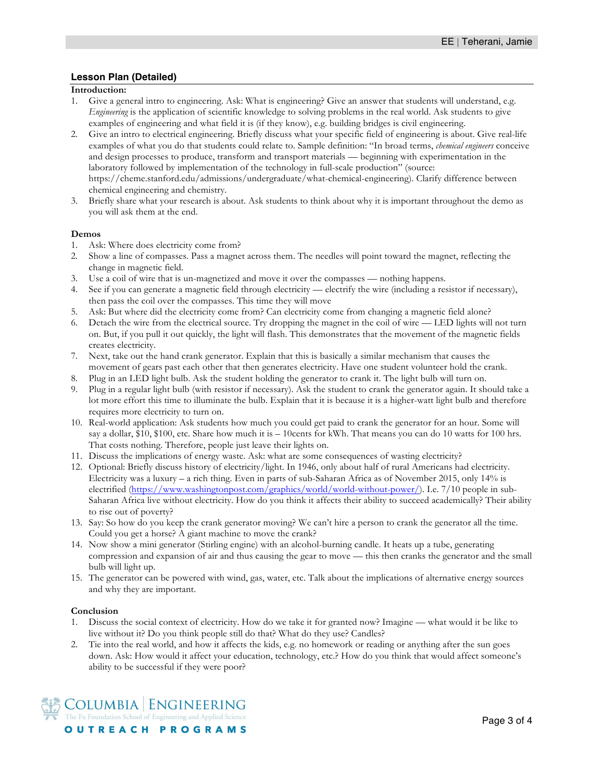## **Lesson Plan (Detailed)**

## **Introduction:**

- 1. Give a general intro to engineering. Ask: What is engineering? Give an answer that students will understand, e.g. *Engineering* is the application of scientific knowledge to solving problems in the real world. Ask students to give examples of engineering and what field it is (if they know), e.g. building bridges is civil engineering.
- 2. Give an intro to electrical engineering. Briefly discuss what your specific field of engineering is about. Give real-life examples of what you do that students could relate to. Sample definition: "In broad terms, *chemical engineers* conceive and design processes to produce, transform and transport materials — beginning with experimentation in the laboratory followed by implementation of the technology in full-scale production" (source: https://cheme.stanford.edu/admissions/undergraduate/what-chemical-engineering). Clarify difference between chemical engineering and chemistry.
- 3. Briefly share what your research is about. Ask students to think about why it is important throughout the demo as you will ask them at the end.

#### **Demos**

- 1. Ask: Where does electricity come from?
- 2. Show a line of compasses. Pass a magnet across them. The needles will point toward the magnet, reflecting the change in magnetic field.
- 3. Use a coil of wire that is un-magnetized and move it over the compasses nothing happens.
- 4. See if you can generate a magnetic field through electricity electrify the wire (including a resistor if necessary), then pass the coil over the compasses. This time they will move
- 5. Ask: But where did the electricity come from? Can electricity come from changing a magnetic field alone?
- 6. Detach the wire from the electrical source. Try dropping the magnet in the coil of wire LED lights will not turn on. But, if you pull it out quickly, the light will flash. This demonstrates that the movement of the magnetic fields creates electricity.
- 7. Next, take out the hand crank generator. Explain that this is basically a similar mechanism that causes the movement of gears past each other that then generates electricity. Have one student volunteer hold the crank.
- 8. Plug in an LED light bulb. Ask the student holding the generator to crank it. The light bulb will turn on.
- 9. Plug in a regular light bulb (with resistor if necessary). Ask the student to crank the generator again. It should take a lot more effort this time to illuminate the bulb. Explain that it is because it is a higher-watt light bulb and therefore requires more electricity to turn on.
- 10. Real-world application: Ask students how much you could get paid to crank the generator for an hour. Some will say a dollar, \$10, \$100, etc. Share how much it is  $-$  10cents for kWh. That means you can do 10 watts for 100 hrs. That costs nothing. Therefore, people just leave their lights on.
- 11. Discuss the implications of energy waste. Ask: what are some consequences of wasting electricity?
- 12. Optional: Briefly discuss history of electricity/light. In 1946, only about half of rural Americans had electricity. Electricity was a luxury – a rich thing. Even in parts of sub-Saharan Africa as of November 2015, only 14% is electrified (https://www.washingtonpost.com/graphics/world/world-without-power/). I.e. 7/10 people in sub-Saharan Africa live without electricity. How do you think it affects their ability to succeed academically? Their ability to rise out of poverty?
- 13. Say: So how do you keep the crank generator moving? We can't hire a person to crank the generator all the time. Could you get a horse? A giant machine to move the crank?
- 14. Now show a mini generator (Stirling engine) with an alcohol-burning candle. It heats up a tube, generating compression and expansion of air and thus causing the gear to move — this then cranks the generator and the small bulb will light up.
- 15. The generator can be powered with wind, gas, water, etc. Talk about the implications of alternative energy sources and why they are important.

#### **Conclusion**

- 1. Discuss the social context of electricity. How do we take it for granted now? Imagine what would it be like to live without it? Do you think people still do that? What do they use? Candles?
- 2. Tie into the real world, and how it affects the kids, e.g. no homework or reading or anything after the sun goes down. Ask: How would it affect your education, technology, etc.? How do you think that would affect someone's ability to be successful if they were poor?